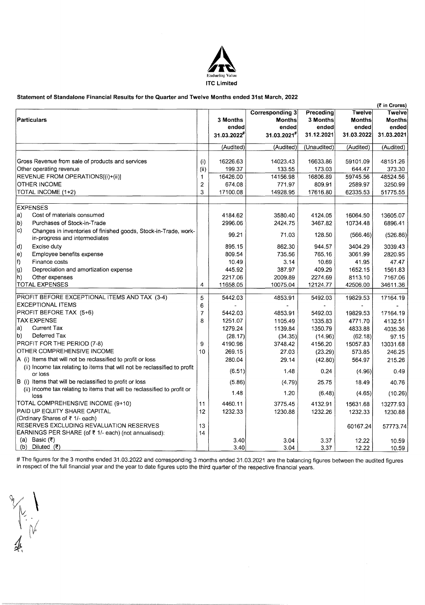

### **Statement of Standalone Financial Results for the Quarter and Twelve Months ended 31st March, 2022**

|                                                                                                                |                |             |                        |             |               | (₹ in Crores) |
|----------------------------------------------------------------------------------------------------------------|----------------|-------------|------------------------|-------------|---------------|---------------|
|                                                                                                                |                |             | <b>Corresponding 3</b> | Preceding   | Twelve        | Twelve        |
| Particulars                                                                                                    |                | 3 Months    | <b>Months</b>          | 3 Months    | <b>Months</b> | <b>Months</b> |
|                                                                                                                |                | ended       | ended                  | ended       | ended         | ended         |
|                                                                                                                |                | 31.03.2022# | 31.03.2021#            | 31.12.2021  | 31.03.2022    | 31.03.2021    |
|                                                                                                                |                | (Audited)   | (Audited)              | (Unaudited) | (Audited)     | (Audited)     |
| Gross Revenue from sale of products and services                                                               | (i)            | 16226.63    | 14023.43               | 16633.86    | 59101.09      | 48151.26      |
| Other operating revenue                                                                                        | (i)            | 199.37      | 133.55                 | 173.03      | 644.47        | 373.30        |
| REVENUE FROM OPERATIONS[(i)+(ii)]                                                                              | 1              | 16426.00    | 14156.98               | 16806.89    | 59745.56      | 48524.56      |
| <b>OTHER INCOME</b>                                                                                            | $\overline{c}$ | 674.08      | 771.97                 | 809.91      | 2589.97       | 3250.99       |
| TOTAL INCOME (1+2)                                                                                             | 3              | 17100.08    | 14928.95               | 17616.80    | 62335.53      | 51775.55      |
|                                                                                                                |                |             |                        |             |               |               |
| <b>EXPENSES</b>                                                                                                |                |             |                        |             |               |               |
| Cost of materials consumed<br>a)                                                                               |                | 4184.62     | 3580.40                | 4124.05     | 16064.50      | 13605.07      |
| b)<br>Purchases of Stock-in-Trade                                                                              |                | 2996.06     | 2424.75                | 3467.82     | 10734.48      | 6896.41       |
| $\vert c)$<br>Changes in inventories of finished goods, Stock-in-Trade, work-<br>in-progress and intermediates |                | 99.21       | 71.03                  | 128.50      | (566.46)      | (526.86)      |
| Excise duty<br>d)                                                                                              |                | 895.15      | 862.30                 | 944.57      | 3404.29       | 3039.43       |
| Employee benefits expense<br>e)                                                                                |                | 809.54      | 735.56                 | 765.16      | 3061.99       | 2820.95       |
| lf)<br>Finance costs                                                                                           |                | 10.49       | 3.14                   | 10.69       | 41.95         | 47.47         |
| Depreciation and amortization expense<br>g)                                                                    |                | 445.92      | 387.97                 | 409.29      | 1652.15       | 1561.83       |
| $ n\rangle$<br>Other expenses                                                                                  |                | 2217.06     | 2009.89                | 2274.69     | 8113.10       | 7167.06       |
| <b>TOTAL EXPENSES</b>                                                                                          | 4              | 11658.05    | 10075.04               | 12124.77    | 42506.00      | 34611.36      |
| PROFIT BEFORE EXCEPTIONAL ITEMS AND TAX (3-4)                                                                  | 5              | 5442.03     | 4853.91                | 5492.03     | 19829.53      | 17164.19      |
| <b>EXCEPTIONAL ITEMS</b>                                                                                       | 6              |             |                        |             |               |               |
| PROFIT BEFORE TAX (5+6)                                                                                        | 7              | 5442.03     | 4853.91                | 5492.03     | 19829.53      | 17164.19      |
| <b>TAX EXPENSE</b>                                                                                             | 8              | 1251.07     | 1105.49                | 1335.83     | 4771.70       | 4132.51       |
| Current Tax<br>a)                                                                                              |                | 1279.24     | 1139.84                | 1350.79     | 4833.88       | 4035.36       |
| Deferred Tax<br>b)                                                                                             |                | (28.17)     | (34.35)                | (14.96)     | (62.18)       | 97.15         |
| PROFIT FOR THE PERIOD (7-8)                                                                                    | 9              | 4190.96     | 3748.42                | 4156.20     | 15057.83      | 13031.68      |
| OTHER COMPREHENSIVE INCOME                                                                                     | 10             | 269.15      | 27.03                  | (23.29)     | 573.85        | 246.25        |
| A (i) Items that will not be reclassified to profit or loss                                                    |                | 280.04      | 29.14                  | (42.80)     | 564.97        | 215.26        |
| (ii) Income tax relating to items that will not be reclassified to profit<br>or loss                           |                | (6.51)      | 1.48                   | 0.24        | (4.96)        | 0.49          |
| B (i) Items that will be reclassified to profit or loss                                                        |                | (5.86)      | (4.79)                 | 25.75       | 18.49         | 40.76         |
| (ii) Income tax relating to items that will be reclassified to profit or<br>loss                               |                | 1.48        | 1.20                   | (6.48)      | (4.65)        | (10.26)       |
| TOTAL COMPREHENSIVE INCOME (9+10)                                                                              | 11             | 4460.11     | 3775.45                | 4132.91     | 15631.68      | 13277.93      |
| PAID UP EQUITY SHARE CAPITAL                                                                                   | 12             | 1232.33     | 1230.88                | 1232.26     | 1232.33       | 1230.88       |
| (Ordinary Shares of ₹ 1/- each)                                                                                |                |             |                        |             |               |               |
| RESERVES EXCLUDING REVALUATION RESERVES                                                                        | 13             |             |                        |             | 60167.24      | 57773.74      |
| EARNINGS PER SHARE (of ₹ 1/- each) (not annualised):                                                           | 14             |             |                        |             |               |               |
| (a) Basic (₹)                                                                                                  |                | 3.40        | 3.04                   | 3.37        | 12.22         | 10.59         |
| (b) Diluted $( ₹)$                                                                                             |                | 3.40        | 3.04                   | 3.37        | 12.22         | 10.59         |

# The figures for the 3 months ended 31.03.2022 and corresponding 3 months ended 31.03.2021 are the balancing figures between the audited figures in respect of the full financial year and the year to date figures upto the third quarter of the respective financial years.

 $\,\mathscr{V} \hskip-.2cm V \hskip-.2cm V \hskip-.2cm V \hskip-.2cm V \hskip-.2cm V \hskip-.2cm V \hskip-.2cm V \hskip-.2cm V \hskip-.2cm V \hskip-.2cm V \hskip-.2cm V \hskip-.2cm V \hskip-.2cm V \hskip-.2cm V \hskip-.2cm V \hskip-.2cm V \hskip-.2cm V \hskip-.2cm V \hskip-.2cm V \hskip-.2cm V \hskip-.2cm V \hskip-.2cm V \hskip-.2cm V \hskip-.2cm V \hskip-.2cm V \hskip-.2cm V \hskip-.2cm V \hskip-.2cm V \hskip-.2cm V \hskip-.2cm V \hskip$ ' بالمحلج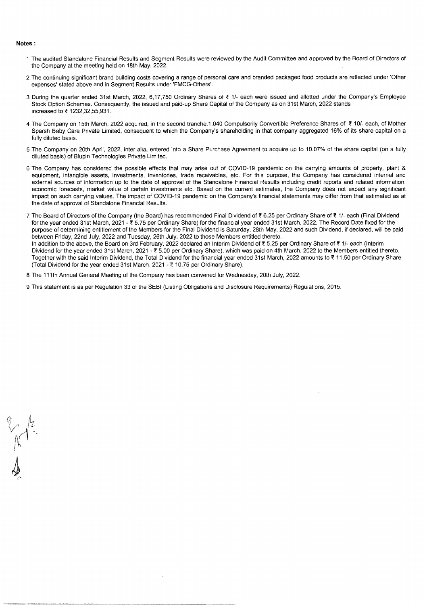#### **Notes:**

- 1 The audited Standalone Financial Results and Segment Results were reviewed by the Audit Committee and approved by the Board of Directors of the Company at the meeting held on 18th May, 2022.
- 2 The continuing significant brand building costs covering a range of personal care and branded packaged food products are reflected under 'Other expenses' stated above and in Segment Results under 'FMCG-Others'.
- 3 During the quarter ended 31st March, 2022, 6,17,750 Ordinary Shares of ₹ 1/- each were issued and allotted under the Company's Employee Stock Option Schemes. Consequently, the issued and paid-up Share Capital of the Company as on 31st March, 2022 stands increased to~ 1232,32,55,931.
- 4 The Company on 15th March, 2022 acquired, in the second tranche, 1,040 Compulsorily Convertible Preference Shares of ~ 10/- each, of Mother Sparsh Baby Care Private Limited, consequent to which the Company's shareholding in that company aggregated 16% of its share capital on a fully diluted basis.
- 5 The Company on 20th April, 2022, inter alia, entered into a Share Purchase Agreement to acquire up to 10.07% of the share capital (on a fully diluted basis) of Blupin Technologies Private Limited.
- 6 The Company has considered the possible effects that may arise out of COVID-19 pandemic on the carrying amounts of property, plant & equipment, intangible assets, investments, inventories, trade receivables, etc. For this purpose, the Company has considered internal and external sources of information up to the date of approval of the Standalone Financial Results including credit reports and related information, economic forecasts, market value of certain investments etc. Based on the current estimates, the Company does not expect any significant impact on such carrying values. The impact of COVID-19 pandemic on the Company's financial statements may differ from that estimated as at the date of approval of Standalone Financial Results.
- 7 The Board of Directors of the Company (the Board) has recommended Final Dividend of ₹ 6.25 per Ordinary Share of ₹ 1/- each (Final Dividend for the year ended 31st March, 2021 - ₹ 5.75 per Ordinary Share) for the financial year ended 31st March, 2022. The Record Date fixed for the purpose of determining entitlement of the Members for the Final Dividend is Saturday, 28th May, 2022 and such Dividend, if declared, will be paid between Friday, 22nd July, 2022 and Tuesday, 26th July, 2022 to those Members entitled thereto. In addition to the above, the Board on 3rd February, 2022 declared an Interim Dividend of ₹ 5.25 per Ordinary Share of ₹ 1/- each (Interim Dividend for the year ended 31st March, 2021 - ₹ 5.00 per Ordinary Share), which was paid on 4th March, 2022 to the Members entitled thereto. Together with the said Interim Dividend, the Total Dividend for the financial year ended 31st March, 2022 amounts to ₹ 11.50 per Ordinary Share (Total Dividend for the year ended 31st March, 2021 -  $\overline{\epsilon}$  10.75 per Ordinary Share).
- 8 The 111th Annual General Meeting of the Company has been convened for Wednesday, 20th July, 2022.
- 9 This statement is as per Regulation 33 of the SEBI (Listing Obligations and Disclosure Requirements) Regulations, 2015.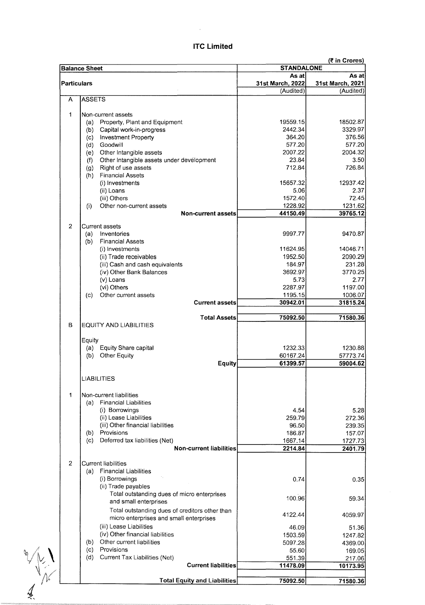|                    | <b>Balance Sheet</b>                             |                                      | (₹ in Crores)    |  |  |
|--------------------|--------------------------------------------------|--------------------------------------|------------------|--|--|
|                    |                                                  | <b>STANDALONE</b><br>As at<br>As atl |                  |  |  |
| <b>Particulars</b> |                                                  | 31st March, 2022                     | 31st March, 2021 |  |  |
|                    |                                                  | (Audited)                            | (Audited)        |  |  |
| A                  | <b>ASSETS</b>                                    |                                      |                  |  |  |
|                    |                                                  |                                      |                  |  |  |
| 1                  | Non-current assets                               |                                      |                  |  |  |
|                    | Property, Plant and Equipment<br>(a)             | 19559.15                             | 18502.87         |  |  |
|                    | Capital work-in-progress<br>(b)                  | 2442.34                              | 3329.97          |  |  |
|                    | <b>Investment Property</b><br>(c)                | 364.20                               | 376.56           |  |  |
|                    | Goodwill<br>(d)                                  | 577.20                               | 577.20           |  |  |
|                    | Other Intangible assets<br>(e)                   | 2007.22                              | 2004.32          |  |  |
|                    | Other Intangible assets under development<br>(f) | 23.84                                | 3.50             |  |  |
|                    | Right of use assets<br>(g)                       | 712.84                               | 726.84           |  |  |
|                    | <b>Financial Assets</b><br>(h)                   |                                      |                  |  |  |
|                    | (i) Investments                                  | 15657.32                             | 12937.42         |  |  |
|                    | (ii) Loans                                       | 5.06                                 | 2.37             |  |  |
|                    | (iii) Others                                     | 1572.40                              | 72.45            |  |  |
|                    | Other non-current assets<br>(i)                  | 1228.92                              | 1231.62          |  |  |
|                    | <b>Non-current assets</b>                        | 44150.49                             | 39765.12         |  |  |
| $\overline{2}$     | Current assets                                   |                                      |                  |  |  |
|                    | Inventories<br>(a)                               | 9997.77                              | 9470.87          |  |  |
|                    | <b>Financial Assets</b><br>(b)                   |                                      |                  |  |  |
|                    | (i) Investments                                  | 11624.95                             | 14046.71         |  |  |
|                    | (ii) Trade receivables                           | 1952.50                              | 2090.29          |  |  |
|                    | (iii) Cash and cash equivalents                  | 184.97                               | 231.28           |  |  |
|                    |                                                  | 3692.97                              | 3770.25          |  |  |
|                    | (iv) Other Bank Balances                         |                                      |                  |  |  |
|                    | (v) Loans                                        | 5.73                                 | 2.77             |  |  |
|                    | (vi) Others                                      | 2287.97                              | 1197.00          |  |  |
|                    | Other current assets<br>(c)                      | 1195.15                              | 1006.07          |  |  |
|                    | <b>Current assets</b>                            | 30942.01                             | 31815.24         |  |  |
|                    | <b>Total Assets</b>                              | 75092.50                             | 71580.36         |  |  |
| B                  | <b>EQUITY AND LIABILITIES</b>                    |                                      |                  |  |  |
|                    |                                                  |                                      |                  |  |  |
|                    | Equity                                           |                                      |                  |  |  |
|                    | (a) Equity Share capital                         | 1232.33                              | 1230.88          |  |  |
|                    | (b) Other Equity                                 | 60167.24                             | 57773.74         |  |  |
|                    | <b>Equity</b>                                    | 61399.57                             | 59004.62         |  |  |
|                    |                                                  |                                      |                  |  |  |
|                    | <b>LIABILITIES</b>                               |                                      |                  |  |  |
|                    |                                                  |                                      |                  |  |  |
| 1.                 | Non-current liabilities                          |                                      |                  |  |  |
|                    | <b>Financial Liabilities</b><br>(a)              |                                      |                  |  |  |
|                    | (i) Borrowings                                   | 4.54                                 | 5.28             |  |  |
|                    | (ii) Lease Liabilities                           | 259.79                               | 272.36           |  |  |
|                    | (iii) Other financial liabilities                | 96.50                                | 239.35           |  |  |
|                    | Provisions<br>(b)                                | 186.87                               | 157.07           |  |  |
|                    | Deferred tax liabilities (Net)<br>(c)            | 1667.14                              | 1727.73          |  |  |
|                    | <b>Non-current liabilities</b>                   | 2214.84                              | 2401.79          |  |  |
|                    |                                                  |                                      |                  |  |  |
| $\overline{2}$     | <b>Current liabilities</b>                       |                                      |                  |  |  |
|                    | <b>Financial Liabilities</b><br>(a)              |                                      |                  |  |  |
|                    | (i) Borrowings                                   | 0.74                                 | 0.35             |  |  |
|                    | (ii) Trade payables                              |                                      |                  |  |  |
|                    | Total outstanding dues of micro enterprises      | 100.96                               | 59.34            |  |  |
|                    | and small enterprises                            |                                      |                  |  |  |
|                    | Total outstanding dues of creditors other than   | 4122.44                              | 4059.97          |  |  |
|                    | micro enterprises and small enterprises          |                                      |                  |  |  |
|                    | (iii) Lease Liabilities                          | 46.09                                | 51.36            |  |  |
|                    | (iv) Other financial liabilities                 | 1503.59                              | 1247.82          |  |  |
|                    | Other current liabilities<br>(b)                 | 5097.28                              | 4369.00          |  |  |
|                    | Provisions<br>(c)                                | 55.60                                | 169.05           |  |  |
|                    | (d)<br>Current Tax Liabilities (Net)             | 551.39                               | 217.06           |  |  |
|                    | <b>Current liabilities</b>                       | 11478.09                             | 10173.95         |  |  |
|                    |                                                  |                                      |                  |  |  |
|                    | <b>Total Equity and Liabilities</b>              | 75092.50                             | 71580.36         |  |  |

 $\frac{1}{4}$ 

# **ITC Limited**

 $\bar{z}$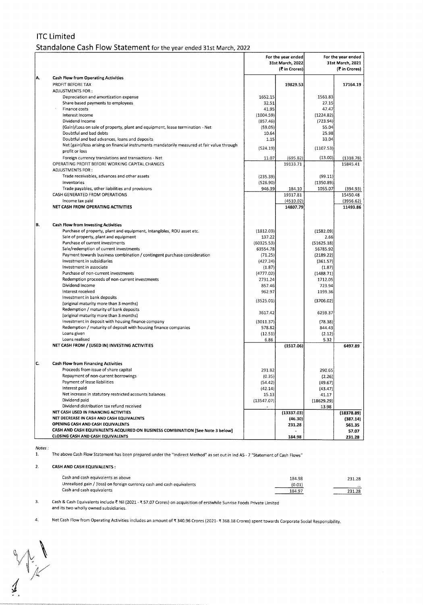## ITC Limited Standalone Cash Flow Statement for the year ended 31st March, 2022

|     |                                                                                             | For the year ended<br>31st March, 2022<br>(₹ in Crores) |            | For the year ended<br>31st March, 2021<br>(₹ in Crores) |            |
|-----|---------------------------------------------------------------------------------------------|---------------------------------------------------------|------------|---------------------------------------------------------|------------|
| A.  | <b>Cash Flow from Operating Activities</b>                                                  |                                                         |            |                                                         |            |
|     | PROFIT BEFORE TAX                                                                           |                                                         | 19829.53   |                                                         | 17164.19   |
|     | ADJUSTMENTS FOR:                                                                            |                                                         |            |                                                         |            |
|     | Depreciation and amortization expense                                                       | 1652.15                                                 |            | 1561.83                                                 |            |
|     | Share based payments to employees                                                           | 32.51                                                   |            | 27.15                                                   |            |
|     | Finance costs                                                                               | 41.95                                                   |            | 47.47                                                   |            |
|     | Interest income<br>Dividend Income                                                          | (1004.59)                                               |            | (1224.82)<br>(723.94)                                   |            |
|     | (Gain)/Loss on sale of property, plant and equipment, lease termination - Net               | (857.46)<br>(59.05)                                     |            | 55.04                                                   |            |
|     | Doubtful and bad debts                                                                      | 10.64                                                   |            | 25.98                                                   |            |
|     | Doubtful and bad advances, loans and deposits                                               | 1.15                                                    |            | 33.04                                                   |            |
|     | Net (gain)/loss arising on financial instruments mandatorily measured at fair value through |                                                         |            |                                                         |            |
|     | profit or loss                                                                              | (524.19)                                                |            | (1107.53)                                               |            |
|     | Foreign currency translations and transactions - Net                                        | 11.07                                                   | (695.82)   | (13.00)                                                 | (1318.78)  |
|     | OPERATING PROFIT BEFORE WORKING CAPITAL CHANGES                                             |                                                         | 19133.71   |                                                         | 15845.41   |
|     | ADJUSTMENTS FOR:                                                                            |                                                         |            |                                                         |            |
|     | Trade receivables, advances and other assets                                                | (235.39)                                                |            | (99.11)                                                 |            |
|     | inventories                                                                                 | (526.90)                                                |            | (1350.89)                                               |            |
|     | Trade payables, other liabilities and provisions                                            | 946.39                                                  | 184.10     | 1055.07                                                 | (394.93)   |
|     | CASH GENERATED FROM OPERATIONS                                                              |                                                         | 19317.81   |                                                         | 15450.48   |
|     | Income tax paid                                                                             |                                                         | (4510.02)  |                                                         | (3956.62)  |
|     | NET CASH FROM OPERATING ACTIVITIES                                                          |                                                         | 14807.79   |                                                         | 11493.86   |
|     |                                                                                             |                                                         |            |                                                         |            |
| ΙB. | Cash Flow from Investing Activities                                                         |                                                         |            |                                                         |            |
|     | Purchase of property, plant and equipment, Intangibles, ROU asset etc.                      | (1812.03)                                               |            | (1582.09)                                               |            |
|     | Sale of property, plant and equipment                                                       | 137.22                                                  |            | 2.66                                                    |            |
|     | Purchase of current investments                                                             | (60325.53)                                              |            | (51625.18)                                              |            |
|     | Sale/redemption of current investments                                                      | 63554.78                                                |            | 56785.92                                                |            |
|     | Payment towards business combination / contingent purchase consideration                    | (71.25)                                                 |            | (2189.22)                                               |            |
|     | Investment in subsidiaries                                                                  | (427.24)                                                |            | (361.57)                                                |            |
|     | Investment in associate                                                                     | (1.87)                                                  |            | (1.87)                                                  |            |
|     | Purchase of non-current investments                                                         | (4777.02)                                               |            | (1488.71)                                               |            |
|     | Redemption proceeds of non-current investments                                              | 2731.24                                                 |            | 1712.05                                                 |            |
|     | Dividend Income                                                                             | 857.46                                                  |            | 723.94                                                  |            |
|     | Interest received                                                                           | 962.97                                                  |            | 1199.36                                                 |            |
|     | Investment in bank deposits                                                                 | (3525.01)                                               |            | (3706.02)                                               |            |
|     | (original maturity more than 3 months)                                                      |                                                         |            |                                                         |            |
|     | Redemption / maturity of bank deposits                                                      | 3617.42                                                 |            | 6259.37                                                 |            |
|     | (original maturity more than 3 months)                                                      |                                                         |            |                                                         |            |
|     | Investment in deposit with housing finance company                                          | (3011.37)                                               |            | (78.38)                                                 |            |
|     | Redemption / maturity of deposit with housing finance companies                             | 578.82                                                  |            | 844.43                                                  |            |
|     | Loans given                                                                                 | (12.51)                                                 |            | (2.12)                                                  |            |
|     | Loans realised                                                                              | 6.86                                                    |            | 5.32                                                    |            |
|     | NET CASH FROM / (USED IN) INVESTING ACTIVITIES                                              |                                                         | (1517.06)  |                                                         | 6497.89    |
| IC. | <b>Cash Flow from Financing Activities</b>                                                  |                                                         |            |                                                         |            |
|     | Proceeds from issue of share capital                                                        | 291.82                                                  |            | 290.65                                                  |            |
|     | Repayment of non-current borrowings                                                         | (0.35)                                                  |            | (2.26)                                                  |            |
|     | Payment of lease liabilities                                                                | (54.42)                                                 |            | (49.67)                                                 |            |
|     | Interest paid                                                                               | (42.14)                                                 |            | (43.47)                                                 |            |
|     | Net increase in statutory restricted accounts balances                                      | 15.13                                                   |            | 41.17                                                   |            |
|     | Dividend paid                                                                               | (13547.07)                                              |            | (18629.29)                                              |            |
|     | Dividend distribution tax refund received                                                   |                                                         |            | 13.98                                                   |            |
|     | NET CASH USED IN FINANCING ACTIVITIES                                                       |                                                         | (13337.03) |                                                         | (18378.89) |
|     | NET DECREASE IN CASH AND CASH EQUIVALENTS                                                   |                                                         | (46.30)    |                                                         | (387.14)   |
|     | OPENING CASH AND CASH EQUIVALENTS                                                           |                                                         | 231.28     |                                                         | 561.35     |
|     | CASH AND CASH EQUIVALENTS ACQUIRED ON BUSINESS COMBINATION [See Note 3 below]               |                                                         |            |                                                         | 57.07      |
|     | CLOSING CASH AND CASH EQUIVALENTS                                                           |                                                         | 184.98     |                                                         | 231.28     |

*Notes:*  1. The above Cash Flow Statement has been prepared under the "Indirect Method" as set out in Ind AS - 7 "Statement of Cash Flows"

### 2. **CASH AND CASH EQUIVALENTS:**

| Cash and cash equivalents as above                                     | 184.98 | 231.28 |
|------------------------------------------------------------------------|--------|--------|
| Unrealised gain / (loss) on foreign currency cash and cash equivalents | (0.01) | 5.56   |
| Cash and cash equivalents                                              | 184.97 | 231.28 |

3. Cash & Cash Equivalents include ₹ Nil (2021 - ₹ 57.07 Crores) on acquisition of erstwhile Sunrise Foods Private Limited and its two wholly owned subsidiaries.

4. Net Cash Flow from Operating Activities includes an amount of ₹ 340.96 Crores (2021- ₹ 368.18 Crores) spent towards Corporate Social Responsibility.

*1*   $\int$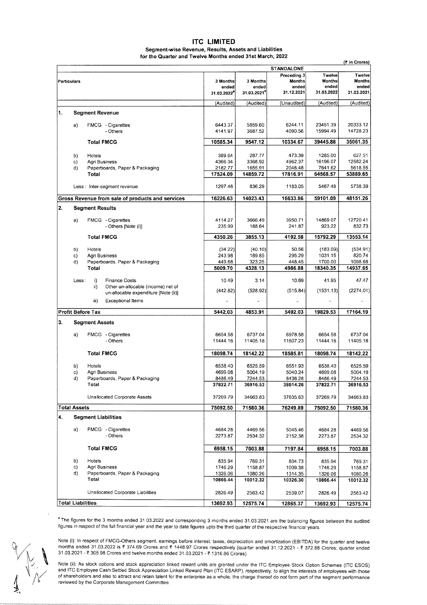### **ITC LIMITED Segment-wise Revenue, Results, Assets and Liabilities**

**for the Quarter and Twelve Months ended 31st March, 2022** 

|    |                                                                                   |                                 |                                  |                                                     |                                                | (₹ in Crores)                                  |
|----|-----------------------------------------------------------------------------------|---------------------------------|----------------------------------|-----------------------------------------------------|------------------------------------------------|------------------------------------------------|
|    |                                                                                   |                                 |                                  | STANDALONE                                          |                                                |                                                |
|    | Particulars                                                                       | 3 Months<br>ended<br>31.03.2022 | 3 Months<br>ended<br>31.03.2021" | Preceding 3<br><b>Months</b><br>ended<br>31.12.2021 | Twelve<br><b>Months</b><br>ended<br>31.03.2022 | Twelve<br><b>Months</b><br>ended<br>31.03.2021 |
|    |                                                                                   | (Audited)                       | (Audited)                        | (Unaudited)                                         | (Audited)                                      | (Audited)                                      |
| 1. | <b>Segment Revenue</b>                                                            |                                 |                                  |                                                     |                                                |                                                |
|    | FMCG - Cigarettes                                                                 | 6443.37                         | 5859.60                          | 6244.11                                             | 23451.39                                       | 20333.12                                       |
|    | a)<br>- Others                                                                    | 4141.97                         | 3687.52                          | 4090.56                                             | 15994.49                                       | 14728.23                                       |
|    | <b>Total FMCG</b>                                                                 | 10585.34                        | 9547.12                          | 10334.67                                            | 39445.88                                       | 35061.35                                       |
|    | b)<br>Hotels                                                                      | 389.64                          | 287.77                           | 473.39                                              | 1285.00                                        | 627.51                                         |
|    | c)<br>Agri Business                                                               | 4366.34                         | 3368.92                          | 4962.37                                             | 16196.07                                       | 12582.24                                       |
|    | d)<br>Paperboards, Paper & Packaging<br>Total                                     | 2182.77<br>17524.09             | 1655.91<br>14859.72              | 2046.48<br>17816.91                                 | 7641.62<br>64568.57                            | 5618.55<br>53889.65                            |
|    | Less : Inter-segment revenue                                                      | 1297.46                         | 836.29                           | 1183.05                                             | 5467.48                                        | 5738.39                                        |
|    |                                                                                   |                                 |                                  |                                                     |                                                |                                                |
|    | Gross Revenue from sale of products and services                                  | 16226.63                        | 14023.43                         | 16633.86                                            | 59101.09                                       | 48151.26                                       |
| 2. | <b>Segment Results</b>                                                            |                                 |                                  |                                                     |                                                |                                                |
|    | FMCG - Cigarettes<br>a)<br>- Others [Note (i)]                                    | 4114.27<br>235.99               | 3666.49<br>188.64                | 3950.71<br>241.87                                   | 14869.07<br>923.22                             | 12720.41<br>832.73                             |
|    |                                                                                   |                                 |                                  |                                                     |                                                |                                                |
|    | <b>Total FMCG</b>                                                                 | 4350.26                         | 3855.13                          | 4192.58                                             | 15792.29                                       | 13553.14                                       |
|    | b)<br>Hotels                                                                      | (34.22)                         | (40.10)                          | 50.56                                               | (183.09)                                       | (534.91)                                       |
|    | c)<br>Agri Business                                                               | 243.98                          | 189.85                           | 295.29                                              | 1031.15                                        | 820.74                                         |
|    | d)<br>Paperboards, Paper & Packaging<br>Total                                     | 449.68<br>5009.70               | 323.25<br>4328.13                | 448.45<br>4986.88                                   | 1700.00<br>18340.35                            | 1098.68<br>14937.65                            |
|    |                                                                                   |                                 |                                  |                                                     |                                                |                                                |
|    | i)<br>Less:<br><b>Finance Costs</b>                                               | 10.49                           | 3.14                             | 10.69                                               | 41.95                                          | 47.47                                          |
|    | Other un-allocable (income) net of<br>ii)<br>un-allocable expenditure [Note (ii)] | (442.82)                        | (528.92)                         | (515.84)                                            | (1531.13)                                      | (2274.01)                                      |
|    | <b>Exceptional Items</b><br>iii)                                                  |                                 |                                  |                                                     |                                                |                                                |
|    | Profit Before Tax                                                                 | 5442.03                         | 4853.91                          | 5492.03                                             | 19829.53                                       | 17164.19                                       |
| 3. | <b>Segment Assets</b>                                                             |                                 |                                  |                                                     |                                                |                                                |
|    | FMCG - Cigarettes<br>a)                                                           | 6654.58                         | 6737.04                          | 6978.58                                             | 6654.58                                        | 6737.04                                        |
|    | - Others                                                                          | 11444.16                        | 11405.18                         | 11607.23                                            | 11444.16                                       | 11405.18                                       |
|    | <b>Total FMCG</b>                                                                 | 18098.74                        | 18142.22                         | 18585.81                                            | 18098.74                                       | 18142.22                                       |
|    |                                                                                   |                                 |                                  |                                                     |                                                |                                                |
|    | b)<br>Hotels                                                                      | 6538.40                         | 6525.59                          | 6551.93                                             | 6538.40                                        | 6525.59                                        |
|    | C)<br>Agri Business<br>d)<br>Paperboards, Paper & Packaging                       | 4699.08<br>8486.49              | 5004.19<br>7244.53               | 5040.24<br>8436.28                                  | 4699.08<br>8486.49                             | 5004.19<br>7244.53                             |
|    | Total                                                                             | 37822.71                        | 36916.53                         | 38614.26                                            | 37822.71                                       | 36916.53                                       |
|    | Unallocated Corporate Assets                                                      | 37269.79                        | 34663.83                         | 37635.63                                            | 37269.79                                       | 34663.83                                       |
|    | <b>Total Assets</b>                                                               | 75092.50                        | 71580.36                         | 76249.89                                            | 75092.50                                       | 71580.36                                       |
| 4. | <b>Segment Liabilities</b>                                                        |                                 |                                  |                                                     |                                                |                                                |
|    | FMCG - Cigarettes<br>a)                                                           | 4684.28                         | 4469.56                          | 5045.46                                             | 4684.28                                        | 4469.56                                        |
|    | - Others                                                                          | 2273.87                         | 2534.32                          | 2152.38                                             | 2273.87                                        | 2534.32                                        |
|    | <b>Total FMCG</b>                                                                 | 6958.15                         | 7003.88                          | 7197.84                                             | 6958.15                                        | 7003.88                                        |
|    | b)<br>Hotels                                                                      | 835.94                          | 769.31                           | 804.73                                              | 835.94                                         | 769.31                                         |
|    | Agri Business<br>c)                                                               | 1746.29                         | 1158.87                          | 1009.38                                             | 1746.29                                        | 1158.87                                        |
|    | Paperboards, Paper & Packaging<br>d)                                              | 1326.06                         | 1080.26                          | 1314.35                                             | 1326.06                                        | 1080.26                                        |
|    | Total                                                                             | 10866.44                        | 10012.32                         | 10326.30                                            | 10866.44                                       | 10012.32                                       |
|    | Unallocated Corporate Liabilities                                                 | 2826.49                         | 2563.42                          | 2539.07                                             | 2826.49                                        | 2563.42                                        |
|    | <b>Total Liabilities</b>                                                          | 13692.93                        | 12575.74                         | 12865.37                                            | 13692.93                                       | 12575.74                                       |

• The figures for the 3 months ended 31.03.2022 and corresponding 3 months ended 31.03.2021 are the balancing figures between the audited figures in respect of the full financial year and the year to date figures upto the third quarter of the respective financial years.

Note (i): In respect of FMCG-Others segment, earnings before interest, taxes, depreciation and amortization (EBITDA) for the quarter and twelve months ended 31.03.2022 is ₹ 374.69 Crores and ₹ 1448.97 Crores respectively (quarter ended 31.12.2021 - ₹ 372.88 Crores; quarter ended 31.03.2021 - ₹ 305.98 Crores and twelve months ended 31.03.2021 - ₹ 1316.86 Crores).

Note (ii): As stock options and stock appreciation linked reward units are granted under the ITC Employee Stock Option Schemes (ITC ESOS) and ITC Employee Cash Settled Stock Appreciation Linked Reward Plan (ITC ESARP), respectively, to align the interests of employees with those of shareholders and also to attract and retain talent for the enterprise as a whole, the charge thereof do not form part of the segment performance reviewed by the Corporate Management Committee.

 $\int$